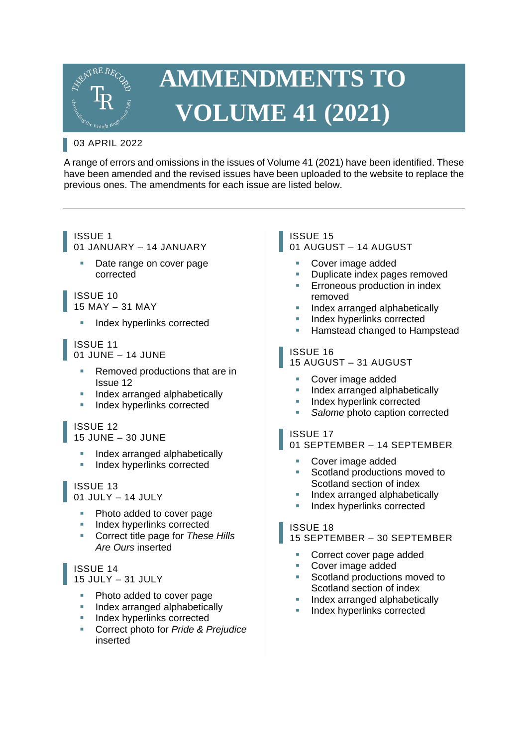

# **AMMENDMENTS TO VOLUME 41 (2021)**

# 03 APRIL 2022

A range of errors and omissions in the issues of Volume 41 (2021) have been identified. These have been amended and the revised issues have been uploaded to the website to replace the previous ones. The amendments for each issue are listed below.

#### ISSUE 1 01 JANUARY – 14 JANUARY

Date range on cover page corrected

#### ISSUE 10 15 MAY – 31 MAY

**Index hyperlinks corrected** 

#### ISSUE 11 01 JUNE – 14 JUNE

- Removed productions that are in Issue 12
- Index arranged alphabetically
- Index hyperlinks corrected

# ISSUE 12

15 JUNE – 30 JUNE

- **Index arranged alphabetically**
- **Index hyperlinks corrected**

# ISSUE 13

#### 01 JULY – 14 JULY

- Photo added to cover page
- **Index hyperlinks corrected**
- Correct title page for *These Hills Are Ours* inserted

# ISSUE 14

15 JULY – 31 JULY

- Photo added to cover page
- **Index arranged alphabetically**
- **Index hyperlinks corrected**
- Correct photo for *Pride & Prejudice* inserted

# ISSUE 15

#### 01 AUGUST – 14 AUGUST

- Cover image added
- Duplicate index pages removed
- Erroneous production in index removed
- Index arranged alphabetically
- Index hyperlinks corrected
- Hamstead changed to Hampstead

# ISSUE 16

### 15 AUGUST – 31 AUGUST

- **Cover image added**
- Index arranged alphabetically
- Index hyperlink corrected
- **Salome** photo caption corrected

# ISSUE 17

01 SEPTEMBER – 14 SEPTEMBER

- Cover image added
- Scotland productions moved to Scotland section of index
- Index arranged alphabetically
- **Index hyperlinks corrected**

# ISSUE 18

### 15 SEPTEMBER – 30 SEPTEMBER

- Correct cover page added
- Cover image added
- Scotland productions moved to Scotland section of index
- Index arranged alphabetically
- Index hyperlinks corrected